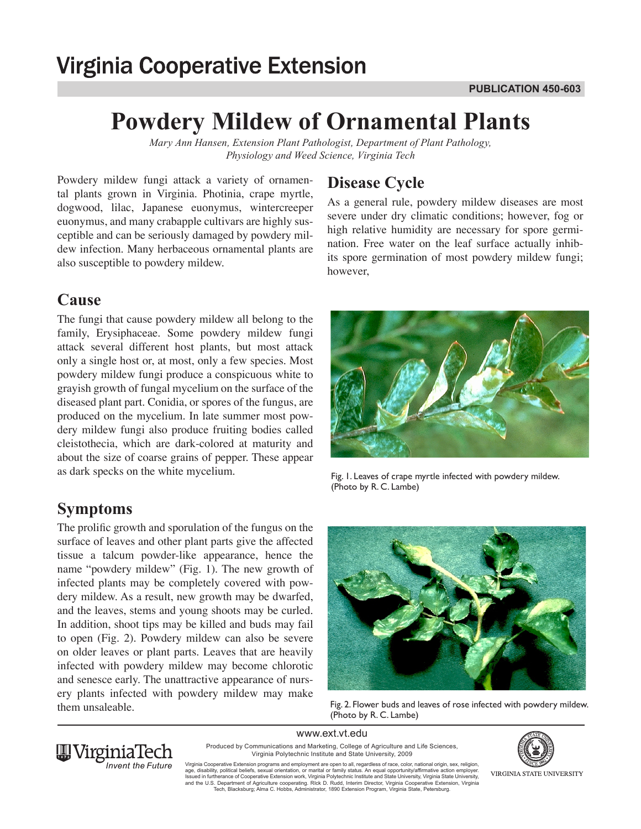# **Virginia Cooperative Extension**

## **Powdery Mildew of Ornamental Plants**

*Mary Ann Hansen, Extension Plant Pathologist, Department of Plant Pathology, Physiology and Weed Science, Virginia Tech*

Powdery mildew fungi attack a variety of ornamental plants grown in Virginia. Photinia, crape myrtle, dogwood, lilac, Japanese euonymus, wintercreeper euonymus, and many crabapple cultivars are highly susceptible and can be seriously damaged by powdery mildew infection. Many herbaceous ornamental plants are also susceptible to powdery mildew.

### **Cause**

The fungi that cause powdery mildew all belong to the family, Erysiphaceae. Some powdery mildew fungi attack several different host plants, but most attack only a single host or, at most, only a few species. Most powdery mildew fungi produce a conspicuous white to grayish growth of fungal mycelium on the surface of the diseased plant part. Conidia, or spores of the fungus, are produced on the mycelium. In late summer most powdery mildew fungi also produce fruiting bodies called cleistothecia, which are dark-colored at maturity and about the size of coarse grains of pepper. These appear as dark specks on the white mycelium.

## **Symptoms**

The prolific growth and sporulation of the fungus on the surface of leaves and other plant parts give the affected tissue a talcum powder-like appearance, hence the name "powdery mildew" (Fig. 1). The new growth of infected plants may be completely covered with powdery mildew. As a result, new growth may be dwarfed, and the leaves, stems and young shoots may be curled. In addition, shoot tips may be killed and buds may fail to open (Fig. 2). Powdery mildew can also be severe on older leaves or plant parts. Leaves that are heavily infected with powdery mildew may become chlorotic and senesce early. The unattractive appearance of nursery plants infected with powdery mildew may make them unsaleable.

## **Disease Cycle**

As a general rule, powdery mildew diseases are most severe under dry climatic conditions; however, fog or high relative humidity are necessary for spore germination. Free water on the leaf surface actually inhibits spore germination of most powdery mildew fungi; however,



Fig. 1. Leaves of crape myrtle infected with powdery mildew. (Photo by R. C. Lambe)



Fig. 2. Flower buds and leaves of rose infected with powdery mildew. (Photo by R. C. Lambe)

www.ext.vt.edu



Produced by Communications and Marketing, College of Agriculture and Life Sciences, Virginia Polytechnic Institute and State University, 2009

Virginia Cooperative Extension programs and employment are open to all, regardless of race, color, national origin, sex, religion,<br>age, disability, political beliefs, sexual orientation, or marital or family status. An equ and the U.S. Department of Agriculture cooperating. RIck D. Rudd, Interim Director, Virginia Cooperative Extension, Virginia<br>Tech, Blacksburg; Alma C. Hobbs, Administrator, 1890 Extension Program, Virginia State, Petersbur